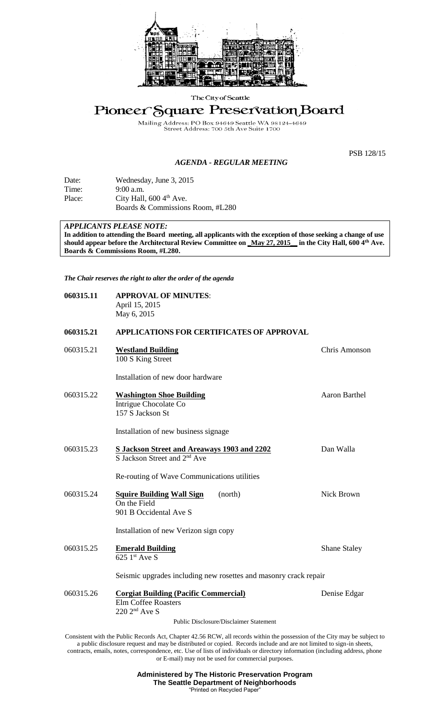

The City of Seattle

# Pioneer Square Preservation Board

Mailing Address: PO Box 94649 Seattle WA 981<br>Street Address: 700 5th Ave Suite 1700 WA 98124 4649

# *AGENDA - REGULAR MEETING*

PSB 128/15

| Date:  | Wednesday, June 3, 2015              |
|--------|--------------------------------------|
| Time:  | $9:00$ a.m.                          |
| Place: | City Hall, $600\,4^{\text{th}}$ Ave. |
|        | Boards & Commissions Room, #L280     |

# *APPLICANTS PLEASE NOTE:*

**In addition to attending the Board meeting, all applicants with the exception of those seeking a change of use should appear before the Architectural Review Committee on \_May 27, 2015\_\_ in the City Hall, 600 4th Ave. Boards & Commissions Room, #L280.**

*The Chair reserves the right to alter the order of the agenda*

| 060315.11 | <b>APPROVAL OF MINUTES:</b><br>April 15, 2015<br>May 6, 2015                                    |                      |
|-----------|-------------------------------------------------------------------------------------------------|----------------------|
| 060315.21 | APPLICATIONS FOR CERTIFICATES OF APPROVAL                                                       |                      |
| 060315.21 | <b>Westland Building</b><br>100 S King Street                                                   | Chris Amonson        |
|           | Installation of new door hardware                                                               |                      |
| 060315.22 | <b>Washington Shoe Building</b><br>Intrigue Chocolate Co<br>157 S Jackson St                    | <b>Aaron Barthel</b> |
|           | Installation of new business signage                                                            |                      |
| 060315.23 | S Jackson Street and Areaways 1903 and 2202<br>S Jackson Street and 2 <sup>nd</sup> Ave         | Dan Walla            |
|           | Re-routing of Wave Communications utilities                                                     |                      |
| 060315.24 | <b>Squire Building Wall Sign</b><br>(north)<br>On the Field<br>901 B Occidental Ave S           | <b>Nick Brown</b>    |
|           | Installation of new Verizon sign copy                                                           |                      |
| 060315.25 | <b>Emerald Building</b><br>$625$ <sup>1st</sup> Ave S                                           | <b>Shane Staley</b>  |
|           | Seismic upgrades including new rosettes and masonry crack repair                                |                      |
| 060315.26 | <b>Corgiat Building (Pacific Commercial)</b><br><b>Elm Coffee Roasters</b><br>$220$ $2nd$ Ave S | Denise Edgar         |
|           | <b>Public Disclosure/Disclaimer Statement</b>                                                   |                      |

Consistent with the Public Records Act, Chapter 42.56 RCW, all records within the possession of the City may be subject to a public disclosure request and may be distributed or copied. Records include and are not limited to sign-in sheets, contracts, emails, notes, correspondence, etc. Use of lists of individuals or directory information (including address, phone or E-mail) may not be used for commercial purposes.

> **Administered by The Historic Preservation Program The Seattle Department of Neighborhoods** "Printed on Recycled Paper"